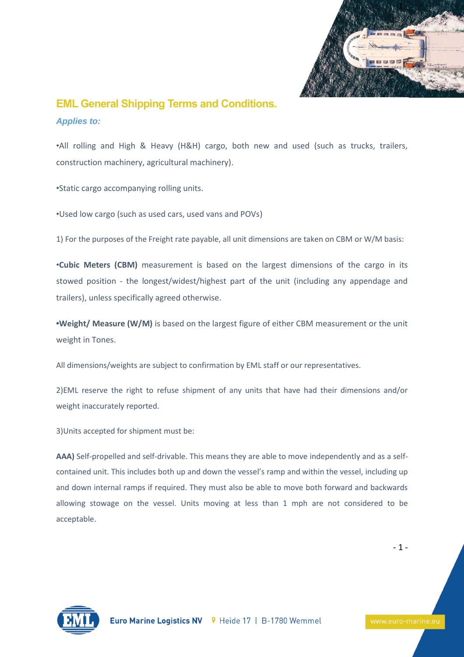

## **EML General Shipping Terms and Conditions.**

## *Applies to:*

•All rolling and High & Heavy (H&H) cargo, both new and used (such as trucks, trailers, construction machinery, agricultural machinery).

•Static cargo accompanying rolling units.

•Used low cargo (such as used cars, used vans and POVs)

1) For the purposes of the Freight rate payable, all unit dimensions are taken on CBM or W/M basis:

•**Cubic Meters (CBM)** measurement is based on the largest dimensions of the cargo in its stowed position - the longest/widest/highest part of the unit (including any appendage and trailers), unless specifically agreed otherwise.

**•Weight/ Measure (W/M)** is based on the largest figure of either CBM measurement or the unit weight in Tones.

All dimensions/weights are subject to confirmation by EML staff or our representatives.

2)EML reserve the right to refuse shipment of any units that have had their dimensions and/or weight inaccurately reported.

3)Units accepted for shipment must be:

**AAA)** Self-propelled and self-drivable. This means they are able to move independently and as a selfcontained unit. This includes both up and down the vessel's ramp and within the vessel, including up and down internal ramps if required. They must also be able to move both forward and backwards allowing stowage on the vessel. Units moving at less than 1 mph are not considered to be acceptable.

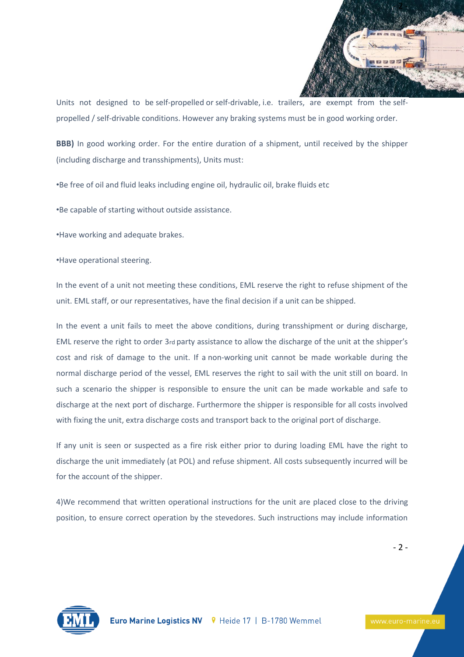

Units not designed to be self-propelled or self-drivable, i.e. trailers, are exempt from the selfpropelled / self-drivable conditions. However any braking systems must be in good working order.

**BBB)** In good working order. For the entire duration of a shipment, until received by the shipper (including discharge and transshipments), Units must:

•Be free of oil and fluid leaks including engine oil, hydraulic oil, brake fluids etc

•Be capable of starting without outside assistance.

•Have working and adequate brakes.

•Have operational steering.

In the event of a unit not meeting these conditions, EML reserve the right to refuse shipment of the unit. EML staff, or our representatives, have the final decision if a unit can be shipped.

In the event a unit fails to meet the above conditions, during transshipment or during discharge, EML reserve the right to order 3rd party assistance to allow the discharge of the unit at the shipper's cost and risk of damage to the unit. If a non-working unit cannot be made workable during the normal discharge period of the vessel, EML reserves the right to sail with the unit still on board. In such a scenario the shipper is responsible to ensure the unit can be made workable and safe to discharge at the next port of discharge. Furthermore the shipper is responsible for all costs involved with fixing the unit, extra discharge costs and transport back to the original port of discharge.

If any unit is seen or suspected as a fire risk either prior to during loading EML have the right to discharge the unit immediately (at POL) and refuse shipment. All costs subsequently incurred will be for the account of the shipper.

4)We recommend that written operational instructions for the unit are placed close to the driving position, to ensure correct operation by the stevedores. Such instructions may include information